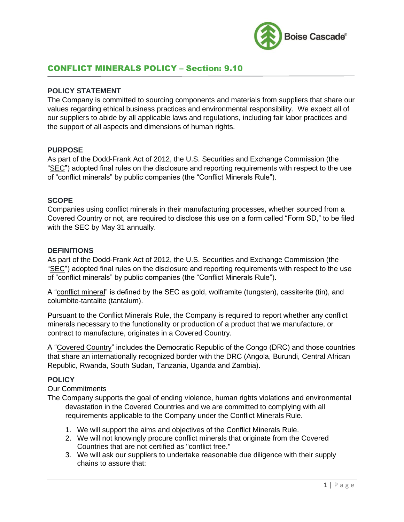

# CONFLICT MINERALS POLICY – Section: 9.10

### **POLICY STATEMENT**

The Company is committed to sourcing components and materials from suppliers that share our values regarding ethical business practices and environmental responsibility. We expect all of our suppliers to abide by all applicable laws and regulations, including fair labor practices and the support of all aspects and dimensions of human rights.

### **PURPOSE**

As part of the Dodd-Frank Act of 2012, the U.S. Securities and Exchange Commission (the "SEC") adopted final rules on the disclosure and reporting requirements with respect to the use of "conflict minerals" by public companies (the "Conflict Minerals Rule").

## **SCOPE**

Companies using conflict minerals in their manufacturing processes, whether sourced from a Covered Country or not, are required to disclose this use on a form called "Form SD," to be filed with the SEC by May 31 annually.

### **DEFINITIONS**

As part of the Dodd-Frank Act of 2012, the U.S. Securities and Exchange Commission (the "SEC") adopted final rules on the disclosure and reporting requirements with respect to the use of "conflict minerals" by public companies (the "Conflict Minerals Rule").

A "conflict mineral" is defined by the SEC as gold, wolframite (tungsten), cassiterite (tin), and columbite-tantalite (tantalum).

Pursuant to the Conflict Minerals Rule, the Company is required to report whether any conflict minerals necessary to the functionality or production of a product that we manufacture, or contract to manufacture, originates in a Covered Country.

A "Covered Country" includes the Democratic Republic of the Congo (DRC) and those countries that share an internationally recognized border with the DRC (Angola, Burundi, Central African Republic, Rwanda, South Sudan, Tanzania, Uganda and Zambia).

### **POLICY**

Our Commitments

- The Company supports the goal of ending violence, human rights violations and environmental devastation in the Covered Countries and we are committed to complying with all requirements applicable to the Company under the Conflict Minerals Rule.
	- 1. We will support the aims and objectives of the Conflict Minerals Rule.
	- 2. We will not knowingly procure conflict minerals that originate from the Covered Countries that are not certified as "conflict free."
	- 3. We will ask our suppliers to undertake reasonable due diligence with their supply chains to assure that: